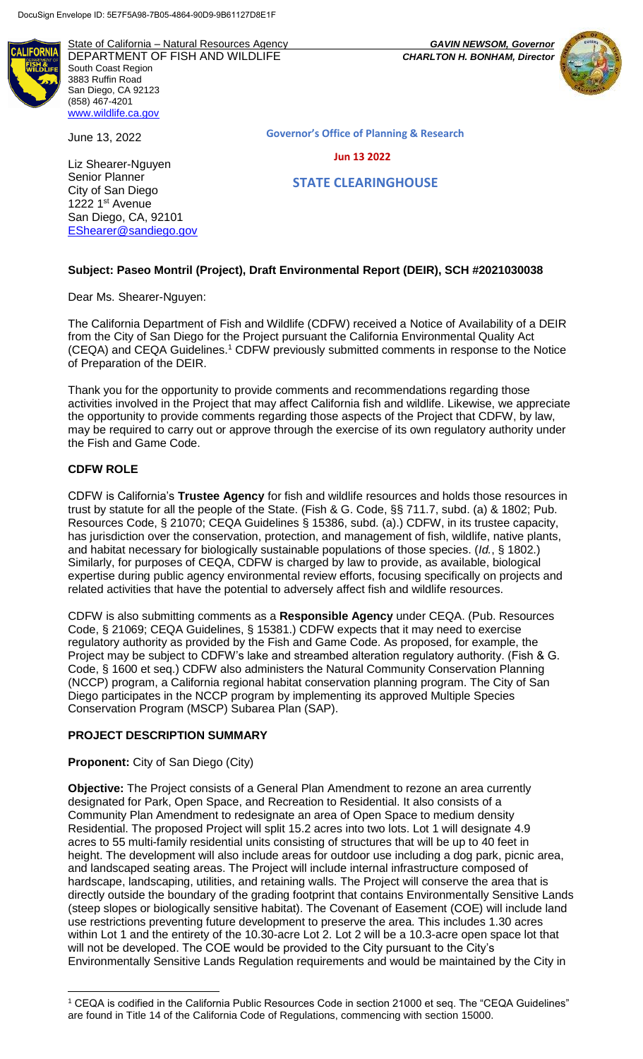State of California – Natural Resources Agency *GAVIN NEWSOM, Governor* DEPARTMENT OF FISH AND WILDLIFE *CHARLTON H. BONHAM, Director*  South Coast Region 3883 Ruffin Road San Diego, CA 92123 (858) 467-4201 [www.wildlife.ca.gov](http://www.wildlife.ca.gov/)

June 13, 2022

Liz Shearer-Nguyen Senior Planner City of San Diego 1222 1<sup>st</sup> Avenue San Diego, CA, 92101 [EShearer@sandiego.gov](mailto:EShearer@sandiego.gov)



**Governor's Office of Planning & Research**

 **Jun 13 2022**

 **STATE CLEARINGHOUSE**

## **Subject: Paseo Montril (Project), Draft Environmental Report (DEIR), SCH #2021030038**

Dear Ms. Shearer-Nguyen:

The California Department of Fish and Wildlife (CDFW) received a Notice of Availability of a DEIR from the City of San Diego for the Project pursuant the California Environmental Quality Act (CEQA) and CEQA Guidelines.<sup>1</sup> CDFW previously submitted comments in response to the Notice of Preparation of the DEIR.

Thank you for the opportunity to provide comments and recommendations regarding those activities involved in the Project that may affect California fish and wildlife. Likewise, we appreciate the opportunity to provide comments regarding those aspects of the Project that CDFW, by law, may be required to carry out or approve through the exercise of its own regulatory authority under the Fish and Game Code.

### **CDFW ROLE**

CDFW is California's **Trustee Agency** for fish and wildlife resources and holds those resources in trust by statute for all the people of the State. (Fish & G. Code, §§ 711.7, subd. (a) & 1802; Pub. Resources Code, § 21070; CEQA Guidelines § 15386, subd. (a).) CDFW, in its trustee capacity, has jurisdiction over the conservation, protection, and management of fish, wildlife, native plants, and habitat necessary for biologically sustainable populations of those species. (*Id.*, § 1802.) Similarly, for purposes of CEQA, CDFW is charged by law to provide, as available, biological expertise during public agency environmental review efforts, focusing specifically on projects and related activities that have the potential to adversely affect fish and wildlife resources.

CDFW is also submitting comments as a **Responsible Agency** under CEQA. (Pub. Resources Code, § 21069; CEQA Guidelines, § 15381.) CDFW expects that it may need to exercise regulatory authority as provided by the Fish and Game Code. As proposed, for example, the Project may be subject to CDFW's lake and streambed alteration regulatory authority. (Fish & G. Code, § 1600 et seq.) CDFW also administers the Natural Community Conservation Planning (NCCP) program, a California regional habitat conservation planning program. The City of San Diego participates in the NCCP program by implementing its approved Multiple Species Conservation Program (MSCP) Subarea Plan (SAP).

### **PROJECT DESCRIPTION SUMMARY**

### **Proponent:** City of San Diego (City)

**Objective:** The Project consists of a General Plan Amendment to rezone an area currently designated for Park, Open Space, and Recreation to Residential. It also consists of a Community Plan Amendment to redesignate an area of Open Space to medium density Residential. The proposed Project will split 15.2 acres into two lots. Lot 1 will designate 4.9 acres to 55 multi-family residential units consisting of structures that will be up to 40 feet in height. The development will also include areas for outdoor use including a dog park, picnic area, and landscaped seating areas. The Project will include internal infrastructure composed of hardscape, landscaping, utilities, and retaining walls. The Project will conserve the area that is directly outside the boundary of the grading footprint that contains Environmentally Sensitive Lands (steep slopes or biologically sensitive habitat). The Covenant of Easement (COE) will include land use restrictions preventing future development to preserve the area. This includes 1.30 acres within Lot 1 and the entirety of the 10.30-acre Lot 2. Lot 2 will be a 10.3-acre open space lot that will not be developed. The COE would be provided to the City pursuant to the City's Environmentally Sensitive Lands Regulation requirements and would be maintained by the City in

l <sup>1</sup> CEQA is codified in the California Public Resources Code in section 21000 et seq. The "CEQA Guidelines" are found in Title 14 of the California Code of Regulations, commencing with section 15000.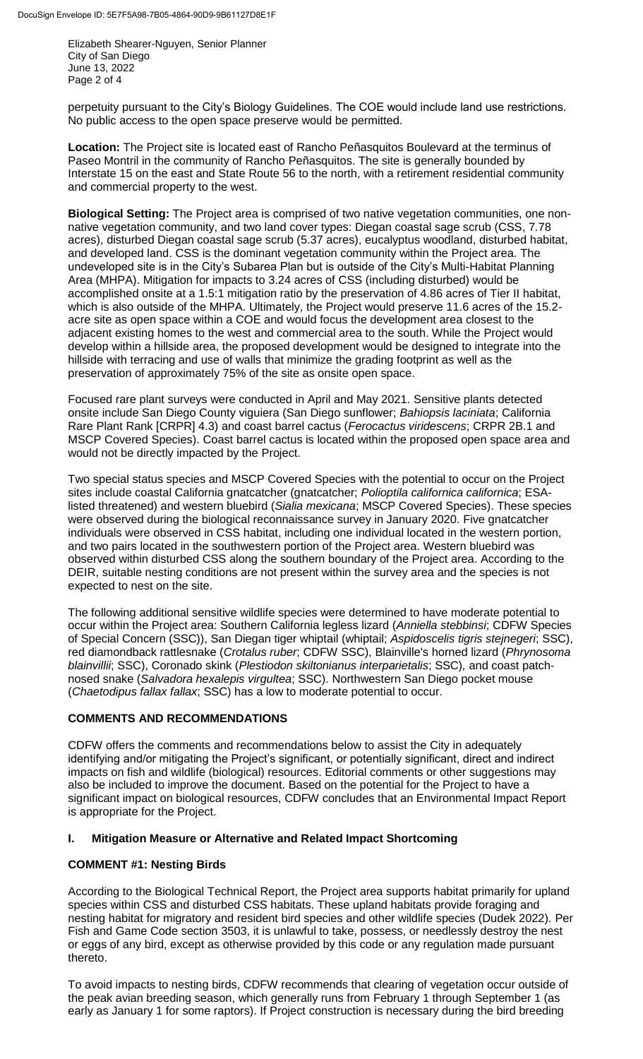Elizabeth Shearer-Nguyen, Senior Planner City of San Diego June 13, 2022 Page 2 of 4

perpetuity pursuant to the City's Biology Guidelines. The COE would include land use restrictions. No public access to the open space preserve would be permitted.

**Location:** The Project site is located east of Rancho Peñasquitos Boulevard at the terminus of Paseo Montril in the community of Rancho Peñasquitos. The site is generally bounded by Interstate 15 on the east and State Route 56 to the north, with a retirement residential community and commercial property to the west.

**Biological Setting:** The Project area is comprised of two native vegetation communities, one nonnative vegetation community, and two land cover types: Diegan coastal sage scrub (CSS, 7.78 acres), disturbed Diegan coastal sage scrub (5.37 acres), eucalyptus woodland, disturbed habitat, and developed land. CSS is the dominant vegetation community within the Project area. The undeveloped site is in the City's Subarea Plan but is outside of the City's Multi-Habitat Planning Area (MHPA). Mitigation for impacts to 3.24 acres of CSS (including disturbed) would be accomplished onsite at a 1.5:1 mitigation ratio by the preservation of 4.86 acres of Tier II habitat, which is also outside of the MHPA. Ultimately, the Project would preserve 11.6 acres of the 15.2 acre site as open space within a COE and would focus the development area closest to the adjacent existing homes to the west and commercial area to the south. While the Project would develop within a hillside area, the proposed development would be designed to integrate into the hillside with terracing and use of walls that minimize the grading footprint as well as the preservation of approximately 75% of the site as onsite open space.

Focused rare plant surveys were conducted in April and May 2021. Sensitive plants detected onsite include San Diego County viguiera (San Diego sunflower; *Bahiopsis laciniata*; California Rare Plant Rank [CRPR] 4.3) and coast barrel cactus (*Ferocactus viridescens*; CRPR 2B.1 and MSCP Covered Species). Coast barrel cactus is located within the proposed open space area and would not be directly impacted by the Project.

Two special status species and MSCP Covered Species with the potential to occur on the Project sites include coastal California gnatcatcher (gnatcatcher; *Polioptila californica californica*; ESAlisted threatened) and western bluebird (*Sialia mexicana*; MSCP Covered Species). These species were observed during the biological reconnaissance survey in January 2020. Five gnatcatcher individuals were observed in CSS habitat, including one individual located in the western portion, and two pairs located in the southwestern portion of the Project area. Western bluebird was observed within disturbed CSS along the southern boundary of the Project area. According to the DEIR, suitable nesting conditions are not present within the survey area and the species is not expected to nest on the site.

The following additional sensitive wildlife species were determined to have moderate potential to occur within the Project area: Southern California legless lizard (*Anniella stebbinsi*; CDFW Species of Special Concern (SSC)), San Diegan tiger whiptail (whiptail; *Aspidoscelis tigris stejnegeri*; SSC), red diamondback rattlesnake (*Crotalus ruber*; CDFW SSC), Blainville's horned lizard (*Phrynosoma blainvillii*; SSC), Coronado skink (*Plestiodon skiltonianus interparietalis*; SSC)*,* and coast patchnosed snake (*Salvadora hexalepis virgultea*; SSC). Northwestern San Diego pocket mouse (*Chaetodipus fallax fallax*; SSC) has a low to moderate potential to occur.

## **COMMENTS AND RECOMMENDATIONS**

CDFW offers the comments and recommendations below to assist the City in adequately identifying and/or mitigating the Project's significant, or potentially significant, direct and indirect impacts on fish and wildlife (biological) resources. Editorial comments or other suggestions may also be included to improve the document. Based on the potential for the Project to have a significant impact on biological resources, CDFW concludes that an Environmental Impact Report is appropriate for the Project.

## **I. Mitigation Measure or Alternative and Related Impact Shortcoming**

## **COMMENT #1: Nesting Birds**

According to the Biological Technical Report, the Project area supports habitat primarily for upland species within CSS and disturbed CSS habitats. These upland habitats provide foraging and nesting habitat for migratory and resident bird species and other wildlife species (Dudek 2022). Per Fish and Game Code section 3503, it is unlawful to take, possess, or needlessly destroy the nest or eggs of any bird, except as otherwise provided by this code or any regulation made pursuant thereto.

To avoid impacts to nesting birds, CDFW recommends that clearing of vegetation occur outside of the peak avian breeding season, which generally runs from February 1 through September 1 (as early as January 1 for some raptors). If Project construction is necessary during the bird breeding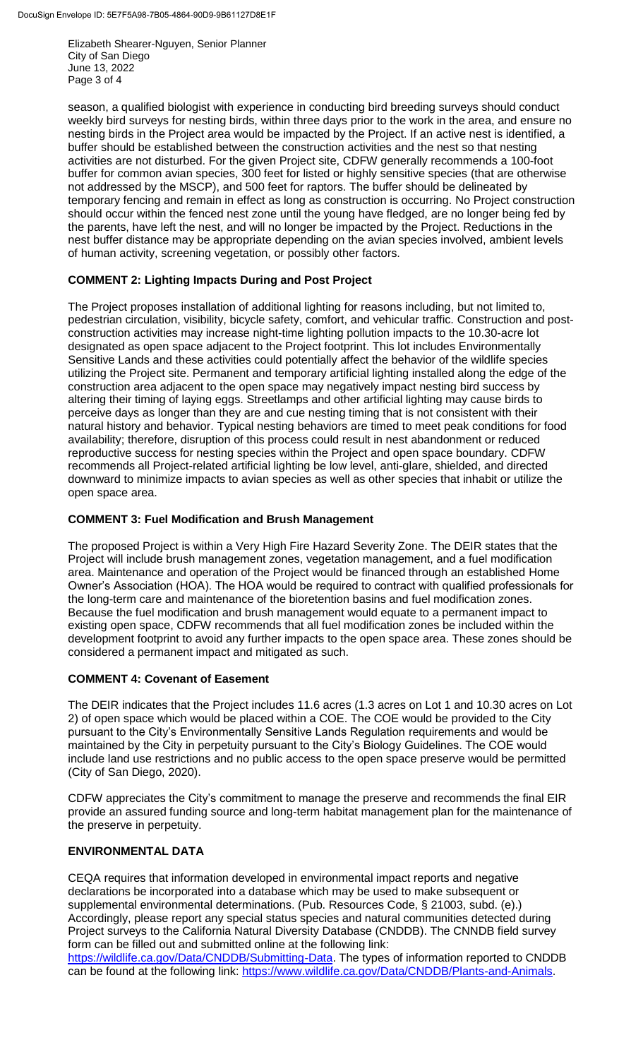Elizabeth Shearer-Nguyen, Senior Planner City of San Diego June 13, 2022 Page 3 of 4

season, a qualified biologist with experience in conducting bird breeding surveys should conduct weekly bird surveys for nesting birds, within three days prior to the work in the area, and ensure no nesting birds in the Project area would be impacted by the Project. If an active nest is identified, a buffer should be established between the construction activities and the nest so that nesting activities are not disturbed. For the given Project site, CDFW generally recommends a 100-foot buffer for common avian species, 300 feet for listed or highly sensitive species (that are otherwise not addressed by the MSCP), and 500 feet for raptors. The buffer should be delineated by temporary fencing and remain in effect as long as construction is occurring. No Project construction should occur within the fenced nest zone until the young have fledged, are no longer being fed by the parents, have left the nest, and will no longer be impacted by the Project. Reductions in the nest buffer distance may be appropriate depending on the avian species involved, ambient levels of human activity, screening vegetation, or possibly other factors.

# **COMMENT 2: Lighting Impacts During and Post Project**

The Project proposes installation of additional lighting for reasons including, but not limited to, pedestrian circulation, visibility, bicycle safety, comfort, and vehicular traffic. Construction and postconstruction activities may increase night-time lighting pollution impacts to the 10.30-acre lot designated as open space adjacent to the Project footprint. This lot includes Environmentally Sensitive Lands and these activities could potentially affect the behavior of the wildlife species utilizing the Project site. Permanent and temporary artificial lighting installed along the edge of the construction area adjacent to the open space may negatively impact nesting bird success by altering their timing of laying eggs. Streetlamps and other artificial lighting may cause birds to perceive days as longer than they are and cue nesting timing that is not consistent with their natural history and behavior. Typical nesting behaviors are timed to meet peak conditions for food availability; therefore, disruption of this process could result in nest abandonment or reduced reproductive success for nesting species within the Project and open space boundary. CDFW recommends all Project-related artificial lighting be low level, anti-glare, shielded, and directed downward to minimize impacts to avian species as well as other species that inhabit or utilize the open space area.

## **COMMENT 3: Fuel Modification and Brush Management**

The proposed Project is within a Very High Fire Hazard Severity Zone. The DEIR states that the Project will include brush management zones, vegetation management, and a fuel modification area. Maintenance and operation of the Project would be financed through an established Home Owner's Association (HOA). The HOA would be required to contract with qualified professionals for the long-term care and maintenance of the bioretention basins and fuel modification zones. Because the fuel modification and brush management would equate to a permanent impact to existing open space, CDFW recommends that all fuel modification zones be included within the development footprint to avoid any further impacts to the open space area. These zones should be considered a permanent impact and mitigated as such.

## **COMMENT 4: Covenant of Easement**

The DEIR indicates that the Project includes 11.6 acres (1.3 acres on Lot 1 and 10.30 acres on Lot 2) of open space which would be placed within a COE. The COE would be provided to the City pursuant to the City's Environmentally Sensitive Lands Regulation requirements and would be maintained by the City in perpetuity pursuant to the City's Biology Guidelines. The COE would include land use restrictions and no public access to the open space preserve would be permitted (City of San Diego, 2020).

CDFW appreciates the City's commitment to manage the preserve and recommends the final EIR provide an assured funding source and long-term habitat management plan for the maintenance of the preserve in perpetuity.

## **ENVIRONMENTAL DATA**

CEQA requires that information developed in environmental impact reports and negative declarations be incorporated into a database which may be used to make subsequent or supplemental environmental determinations. (Pub. Resources Code, § 21003, subd. (e).) Accordingly, please report any special status species and natural communities detected during Project surveys to the California Natural Diversity Database (CNDDB). The CNNDB field survey form can be filled out and submitted online at the following link:

[https://wildlife.ca.gov/Data/CNDDB/Submitting-Data.](https://wildlife.ca.gov/Data/CNDDB/Submitting-Data) The types of information reported to CNDDB can be found at the following link: [https://www.wildlife.ca.gov/Data/CNDDB/Plants-and-Animals.](https://www.wildlife.ca.gov/Data/CNDDB/Plants-and-Animals)